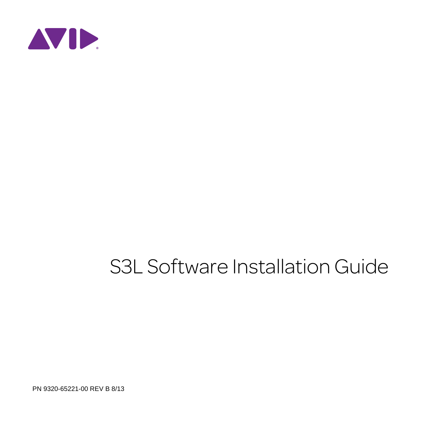

# S3L Software Installation Guide

PN 9320-65221-00 REV B 8/13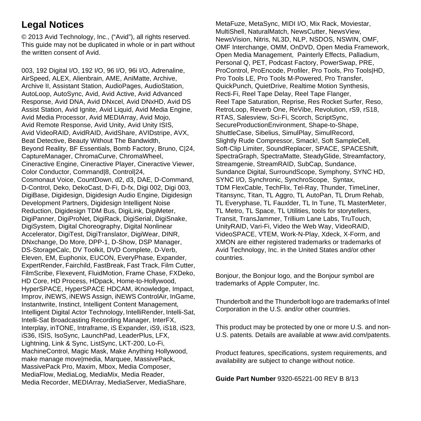## **Legal Notices**

© 2013 Avid Technology, Inc., ("Avid"), all rights reserved. This guide may not be duplicated in whole or in part without the written consent of Avid.

003, 192 Digital I/O, 192 I/O, 96 I/O, 96i I/O, Adrenaline, AirSpeed, ALEX, Alienbrain, AME, AniMatte, Archive, Archive II, Assistant Station, AudioPages, AudioStation, AutoLoop, AutoSync, Avid, Avid Active, Avid Advanced Response, Avid DNA, Avid DNxcel, Avid DNxHD, Avid DS Assist Station, Avid Ignite, Avid Liquid, Avid Media Engine, Avid Media Processor, Avid MEDIArray, Avid Mojo, Avid Remote Response, Avid Unity, Avid Unity ISIS, Avid VideoRAID, AvidRAID, AvidShare, AVIDstripe, AVX, Beat Detective, Beauty Without The Bandwidth, Beyond Reality, BF Essentials, Bomb Factory, Bruno, C|24, CaptureManager, ChromaCurve, ChromaWheel, Cineractive Engine, Cineractive Player, Cineractive Viewer, Color Conductor, Command|8, Control|24, Cosmonaut Voice, CountDown, d2, d3, DAE, D-Command, D-Control, Deko, DekoCast, D-Fi, D-fx, Digi 002, Digi 003, DigiBase, Digidesign, Digidesign Audio Engine, Digidesign Development Partners, Digidesign Intelligent Noise Reduction, Digidesign TDM Bus, DigiLink, DigiMeter, DigiPanner, DigiProNet, DigiRack, DigiSerial, DigiSnake, DigiSystem, Digital Choreography, Digital Nonlinear Accelerator, DigiTest, DigiTranslator, DigiWear, DINR, DNxchange, Do More, DPP-1, D-Show, DSP Manager, DS-StorageCalc, DV Toolkit, DVD Complete, D-Verb, Eleven, EM, Euphonix, EUCON, EveryPhase, Expander, ExpertRender, Fairchild, FastBreak, Fast Track, Film Cutter, FilmScribe, Flexevent, FluidMotion, Frame Chase, FXDeko, HD Core, HD Process, HDpack, Home-to-Hollywood, HyperSPACE, HyperSPACE HDCAM, iKnowledge, Impact, Improv, iNEWS, iNEWS Assign, iNEWS ControlAir, InGame, Instantwrite, Instinct, Intelligent Content Management, Intelligent Digital Actor Technology, IntelliRender, Intelli-Sat, Intelli-Sat Broadcasting Recording Manager, InterFX, Interplay, inTONE, Intraframe, iS Expander, iS9, iS18, iS23, iS36, ISIS, IsoSync, LaunchPad, LeaderPlus, LFX, Lightning, Link & Sync, ListSync, LKT-200, Lo-Fi, MachineControl, Magic Mask, Make Anything Hollywood, make manage move|media, Marquee, MassivePack, MassivePack Pro, Maxim, Mbox, Media Composer, MediaFlow, MediaLog, MediaMix, Media Reader, Media Recorder, MEDIArray, MediaServer, MediaShare,

MetaFuze, MetaSync, MIDI I/O, Mix Rack, Moviestar, MultiShell, NaturalMatch, NewsCutter, NewsView, NewsVision, Nitris, NL3D, NLP, NSDOS, NSWIN, OMF, OMF Interchange, OMM, OnDVD, Open Media Framework, Open Media Management, Painterly Effects, Palladium, Personal Q, PET, Podcast Factory, PowerSwap, PRE, ProControl, ProEncode, Profiler, Pro Tools, Pro Tools|HD, Pro Tools LE, Pro Tools M-Powered, Pro Transfer, QuickPunch, QuietDrive, Realtime Motion Synthesis, Recti-Fi, Reel Tape Delay, Reel Tape Flanger, Reel Tape Saturation, Reprise, Res Rocket Surfer, Reso, RetroLoop, Reverb One, ReVibe, Revolution, rS9, rS18, RTAS, Salesview, Sci-Fi, Scorch, ScriptSync, SecureProductionEnvironment, Shape-to-Shape, ShuttleCase, Sibelius, SimulPlay, SimulRecord, Slightly Rude Compressor, Smack!, Soft SampleCell, Soft-Clip Limiter, SoundReplacer, SPACE, SPACEShift, SpectraGraph, SpectraMatte, SteadyGlide, Streamfactory, Streamgenie, StreamRAID, SubCap, Sundance, Sundance Digital, SurroundScope, Symphony, SYNC HD, SYNC I/O, Synchronic, SynchroScope. Svntax. TDM FlexCable, TechFlix, Tel-Ray, Thunder, TimeLiner, Titansync, Titan, TL Aggro, TL AutoPan, TL Drum Rehab, TL Everyphase, TL Fauxlder, TL In Tune, TL MasterMeter, TL Metro, TL Space, TL Utilities, tools for storytellers, Transit, TransJammer, Trillium Lane Labs, TruTouch, UnityRAID, Vari-Fi, Video the Web Way, VideoRAID, VideoSPACE, VTEM, Work-N-Play, Xdeck, X-Form, and XMON are either registered trademarks or trademarks of Avid Technology, Inc. in the United States and/or other countries.

Bonjour, the Bonjour logo, and the Bonjour symbol are trademarks of Apple Computer, Inc.

Thunderbolt and the Thunderbolt logo are trademarks of Intel Corporation in the U.S. and/or other countries.

This product may be protected by one or more U.S. and non-U.S. patents. Details are available at www.avid.com/patents.

Product features, specifications, system requirements, and availability are subject to change without notice.

**Guide Part Number** 9320-65221-00 REV B 8/13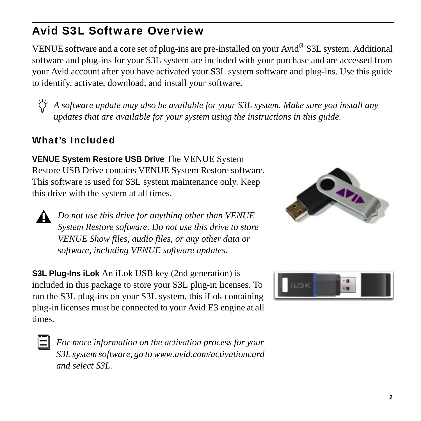## Avid S3L Software Overview

VENUE software and a core set of plug-ins are pre-installed on your Avid® S3L system. Additional software and plug-ins for your S3L system are included with your purchase and are accessed from your Avid account after you have activated your S3L system software and plug-ins. Use this guide to identify, activate, download, and install your software.

*A software update may also be available for your S3L system. Make sure you install any updates that are available for your system using the instructions in this guide.*

## What's Included

**VENUE System Restore USB Drive** The VENUE System Restore USB Drive contains VENUE System Restore software. This software is used for S3L system maintenance only. Keep this drive with the system at all times.

*Do not use this drive for anything other than VENUE System Restore software. Do not use this drive to store VENUE Show files, audio files, or any other data or software, including VENUE software updates.*

**S3L Plug-Ins iLok** An iLok USB key (2nd generation) is included in this package to store your S3L plug-in licenses. To run the S3L plug-ins on your S3L system, this iLok containing plug-in licenses must be connected to your Avid E3 engine at all times.



*For more information on the activation process for your [S3L system software, go to www.avid.com/activationcard](www.avid.com/activationcard)  and select S3L.*



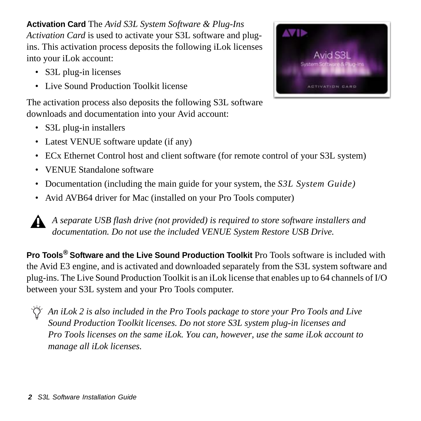**Activation Card** The *Avid S3L System Software & Plug-Ins Activation Card* is used to activate your S3L software and plugins. This activation process deposits the following iLok licenses into your iLok account:

- S3L plug-in licenses
- Live Sound Production Toolkit license

The activation process also deposits the following S3L software downloads and documentation into your Avid account:

- S3L plug-in installers
- Latest VENUE software update (if any)
- ECx Ethernet Control host and client software (for remote control of your S3L system)
- VENUE Standalone software
- Documentation (including the main guide for your system, the *S3L System Guide)*
- Avid AVB64 driver for Mac (installed on your Pro Tools computer)

*A separate USB flash drive (not provided) is required to store software installers and documentation. Do not use the included VENUE System Restore USB Drive.*

**Pro Tools***®* **Software and the Live Sound Production Toolkit** Pro Tools software is included with the Avid E3 engine, and is activated and downloaded separately from the S3L system software and plug-ins. The Live Sound Production Toolkit is an iLok license that enables up to 64 channels of I/O between your S3L system and your Pro Tools computer.

*An iLok 2 is also included in the Pro Tools package to store your Pro Tools and Live Sound Production Toolkit licenses. Do not store S3L system plug-in licenses and Pro Tools licenses on the same iLok. You can, however, use the same iLok account to manage all iLok licenses.*

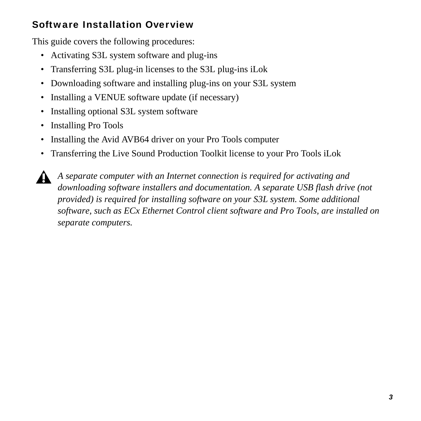## Software Installation Overview

This guide covers the following procedures:

- Activating S3L system software and plug-ins
- Transferring S3L plug-in licenses to the S3L plug-ins iLok
- Downloading software and installing plug-ins on your S3L system
- Installing a VENUE software update (if necessary)
- Installing optional S3L system software
- Installing Pro Tools
- Installing the Avid AVB64 driver on your Pro Tools computer
- Transferring the Live Sound Production Toolkit license to your Pro Tools iLok

*A separate computer with an Internet connection is required for activating and downloading software installers and documentation. A separate USB flash drive (not provided) is required for installing software on your S3L system. Some additional software, such as ECx Ethernet Control client software and Pro Tools, are installed on separate computers.*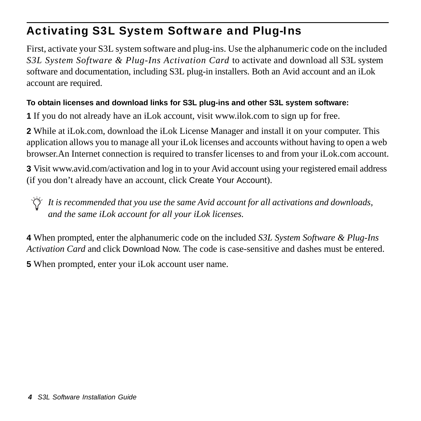## Activating S3L System Software and Plug-Ins

First, activate your S3L system software and plug-ins. Use the alphanumeric code on the included *S3L System Software & Plug-Ins Activation Card* to activate and download all S3L system software and documentation, including S3L plug-in installers. Both an Avid account and an iLok account are required.

### **To obtain licenses and download links for S3L plug-ins and other S3L system software:**

**1** [If you do not already have an iLok account, visit www.ilok.com to sign up for free.](www.ilok.com ) 

**2** While at iLok.com, download the iLok License Manager and install it on your computer. This application allows you to manage all your iLok licenses and accounts without having to open a web browser.An Internet connection is required to transfer licenses to and from your iLok.com account.

**3** [Visit www.avid.com/activation and log in to your Avid account using your registered email address](www.avid.com/activation)  [\(if you don't already have an account, click](www.avid.com/activation) Create Your Account).

*It is recommended that you use the same Avid account for all activations and downloads, and the same iLok account for all your iLok licenses.*

**4** When prompted, enter the alphanumeric code on the included *S3L System Software & Plug-Ins Activation Card* and click Download Now. The code is case-sensitive and dashes must be entered.

**5** When prompted, enter your iLok account user name.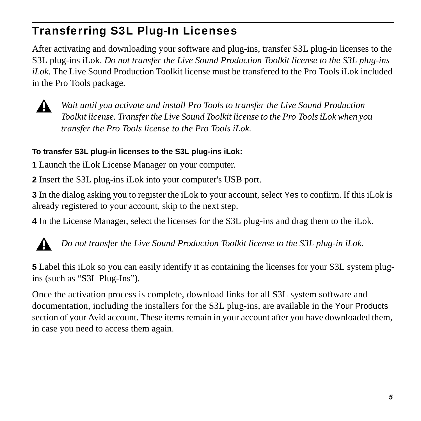# Transferring S3L Plug-In Licenses

After activating and downloading your software and plug-ins, transfer S3L plug-in licenses to the S3L plug-ins iLok. *Do not transfer the Live Sound Production Toolkit license to the S3L plug-ins iLok*. The Live Sound Production Toolkit license must be transfered to the Pro Tools iLok included in the Pro Tools package.



*Wait until you activate and install Pro Tools to transfer the Live Sound Production Toolkit license. Transfer the Live Sound Toolkit license to the Pro Tools iLok when you transfer the Pro Tools license to the Pro Tools iLok.*

### **To transfer S3L plug-in licenses to the S3L plug-ins iLok:**

**1** Launch the iLok License Manager on your computer.

**2** Insert the S3L plug-ins iLok into your computer's USB port.

**3** In the dialog asking you to register the iLok to your account, select Yes to confirm. If this iLok is already registered to your account, skip to the next step.

**4** In the License Manager, select the licenses for the S3L plug-ins and drag them to the iLok.



*Do not transfer the Live Sound Production Toolkit license to the S3L plug-in iLok*.

**5** Label this iLok so you can easily identify it as containing the licenses for your S3L system plugins (such as "S3L Plug-Ins").

Once the activation process is complete, download links for all S3L system software and documentation, including the installers for the S3L plug-ins, are available in the Your Products section of your Avid account. These items remain in your account after you have downloaded them, in case you need to access them again.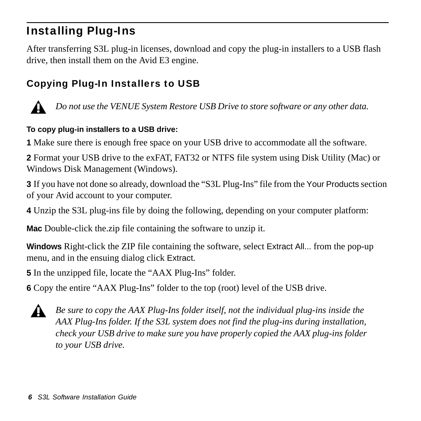# Installing Plug-Ins

After transferring S3L plug-in licenses, download and copy the plug-in installers to a USB flash drive, then install them on the Avid E3 engine.

## Copying Plug-In Installers to USB



*Do not use the VENUE System Restore USB Drive to store software or any other data.*

#### **To copy plug-in installers to a USB drive:**

**1** Make sure there is enough free space on your USB drive to accommodate all the software.

**2** Format your USB drive to the exFAT, FAT32 or NTFS file system using Disk Utility (Mac) or Windows Disk Management (Windows).

**3** If you have not done so already, download the "S3L Plug-Ins" file from the Your Products section of your Avid account to your computer.

**4** Unzip the S3L plug-ins file by doing the following, depending on your computer platform:

**Mac** Double-click the.zip file containing the software to unzip it.

**Windows** Right-click the ZIP file containing the software, select Extract All... from the pop-up menu, and in the ensuing dialog click Extract.

**5** In the unzipped file, locate the "AAX Plug-Ins" folder.

**6** Copy the entire "AAX Plug-Ins" folder to the top (root) level of the USB drive.



*Be sure to copy the AAX Plug-Ins folder itself, not the individual plug-ins inside the AAX Plug-Ins folder. If the S3L system does not find the plug-ins during installation, check your USB drive to make sure you have properly copied the AAX plug-ins folder to your USB drive.*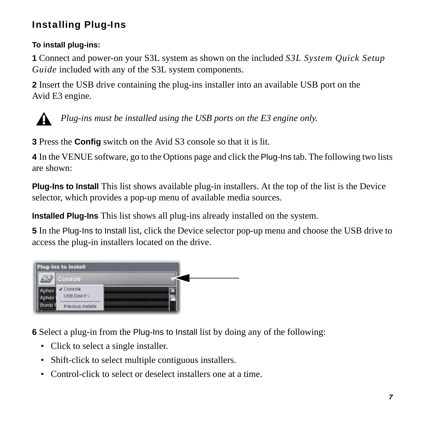## Installing Plug-Ins

#### **To install plug-ins:**

**1** Connect and power-on your S3L system as shown on the included *S3L System Quick Setup Guide* included with any of the S3L system components.

**2** Insert the USB drive containing the plug-ins installer into an available USB port on the Avid E3 engine.



*Plug-ins must be installed using the USB ports on the E3 engine only.*

**3** Press the **Config** switch on the Avid S3 console so that it is lit.

**4** In the VENUE software, go to the Options page and click the Plug-Ins tab. The following two lists are shown:

**Plug-Ins to Install** This list shows available plug-in installers. At the top of the list is the Device selector, which provides a pop-up menu of available media sources.

**Installed Plug-Ins** This list shows all plug-ins already installed on the system.

**5** In the Plug-Ins to Install list, click the Device selector pop-up menu and choose the USB drive to access the plug-in installers located on the drive.



**6** Select a plug-in from the Plug-Ins to Install list by doing any of the following:

- Click to select a single installer.
- Shift-click to select multiple contiguous installers.
- Control-click to select or deselect installers one at a time.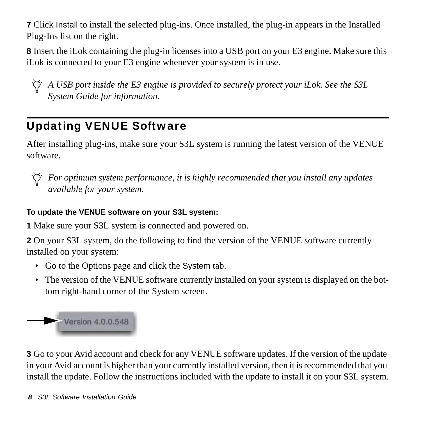**7** Click Install to install the selected plug-ins. Once installed, the plug-in appears in the Installed Plug-Ins list on the right.

**8** Insert the iLok containing the plug-in licenses into a USB port on your E3 engine. Make sure this iLok is connected to your E3 engine whenever your system is in use.

*A USB port inside the E3 engine is provided to securely protect your iLok. See the S3L System Guide for information.*

# Updating VENUE Software

After installing plug-ins, make sure your S3L system is running the latest version of the VENUE software.



*For optimum system performance, it is highly recommended that you install any updates available for your system.*

### **To update the VENUE software on your S3L system:**

**1** Make sure your S3L system is connected and powered on.

**2** On your S3L system, do the following to find the version of the VENUE software currently installed on your system:

- Go to the Options page and click the System tab.
- The version of the VENUE software currently installed on your system is displayed on the bottom right-hand corner of the System screen.



**3** Go to your Avid account and check for any VENUE software updates. If the version of the update in your Avid account is higher than your currently installed version, then it is recommended that you install the update. Follow the instructions included with the update to install it on your S3L system.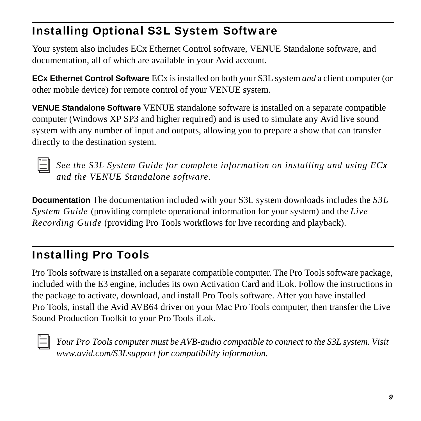# Installing Optional S3L System Software

Your system also includes ECx Ethernet Control software, VENUE Standalone software, and documentation, all of which are available in your Avid account.

**ECx Ethernet Control Software** ECx is installed on both your S3L system *and* a client computer (or other mobile device) for remote control of your VENUE system.

**VENUE Standalone Software** VENUE standalone software is installed on a separate compatible computer (Windows XP SP3 and higher required) and is used to simulate any Avid live sound system with any number of input and outputs, allowing you to prepare a show that can transfer directly to the destination system.

*See the S3L System Guide for complete information on installing and using ECx and the VENUE Standalone software.*

**Documentation** The documentation included with your S3L system downloads includes the *S3L System Guide* (providing complete operational information for your system) and the *Live Recording Guide* (providing Pro Tools workflows for live recording and playback).

# Installing Pro Tools

Pro Tools software is installed on a separate compatible computer. The Pro Tools software package, included with the E3 engine, includes its own Activation Card and iLok. Follow the instructions in the package to activate, download, and install Pro Tools software. After you have installed Pro Tools, install the Avid AVB64 driver on your Mac Pro Tools computer, then transfer the Live Sound Production Toolkit to your Pro Tools iLok.



*Your Pro Tools computer must be AVB-audio compatible to connect to the S3L system. Visit www.avid.com/S3Lsupport for compatibility information.*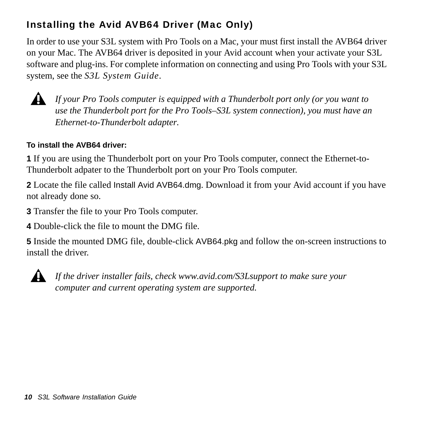## Installing the Avid AVB64 Driver (Mac Only)

In order to use your S3L system with Pro Tools on a Mac, your must first install the AVB64 driver on your Mac. The AVB64 driver is deposited in your Avid account when your activate your S3L software and plug-ins. For complete information on connecting and using Pro Tools with your S3L system, see the *S3L System Guide*.



*If your Pro Tools computer is equipped with a Thunderbolt port only (or you want to use the Thunderbolt port for the Pro Tools–S3L system connection), you must have an Ethernet-to-Thunderbolt adapter.*

### **To install the AVB64 driver:**

**1** If you are using the Thunderbolt port on your Pro Tools computer, connect the Ethernet-to-Thunderbolt adpater to the Thunderbolt port on your Pro Tools computer.

**2** Locate the file called Install Avid AVB64.dmg. Download it from your Avid account if you have not already done so.

**3** Transfer the file to your Pro Tools computer.

**4** Double-click the file to mount the DMG file.

**5** Inside the mounted DMG file, double-click AVB64.pkg and follow the on-screen instructions to install the driver.



*If the driver installer fails, check www.avid.com/S3Lsupport to make sure your computer and current operating system are supported.*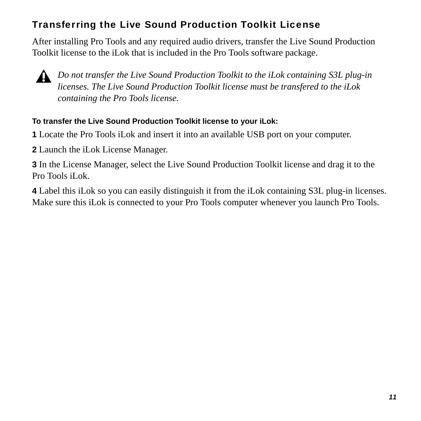## Transferring the Live Sound Production Toolkit License

After installing Pro Tools and any required audio drivers, transfer the Live Sound Production Toolkit license to the iLok that is included in the Pro Tools software package.



*Do not transfer the Live Sound Production Toolkit to the iLok containing S3L plug-in licenses. The Live Sound Production Toolkit license must be transfered to the iLok containing the Pro Tools license.*

#### **To transfer the Live Sound Production Toolkit license to your iLok:**

**1** Locate the Pro Tools iLok and insert it into an available USB port on your computer.

**2** Launch the iLok License Manager.

**3** In the License Manager, select the Live Sound Production Toolkit license and drag it to the Pro Tools iLok.

**4** Label this iLok so you can easily distinguish it from the iLok containing S3L plug-in licenses. Make sure this iLok is connected to your Pro Tools computer whenever you launch Pro Tools.